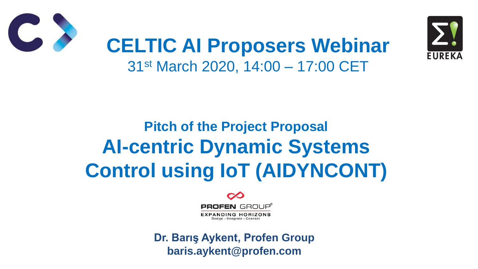### **Pitch of the Project Proposal AI-centric Dynamic Systems Control using IoT (AIDYNCONT)**





### **CELTIC AI Proposers Webinar** 31st March 2020, 14:00 – 17:00 CET

#### **Dr. Barış Aykent, Profen Group baris.aykent@profen.com**

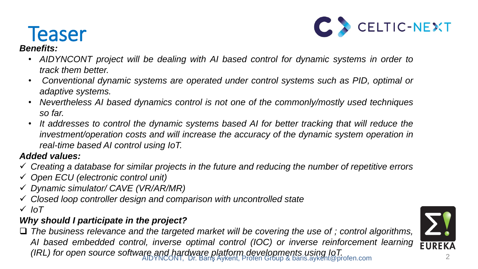

### **Teaser**

#### *Benefits:*

- *AIDYNCONT project will be dealing with AI based control for dynamic systems in order to track them better.*
- *Conventional dynamic systems are operated under control systems such as PID, optimal or adaptive systems.*
- *Nevertheless AI based dynamics control is not one of the commonly/mostly used techniques so far.*
- *It addresses to control the dynamic systems based AI for better tracking that will reduce the real-time based AI control using IoT.*

*investment/operation costs and will increase the accuracy of the dynamic system operation in*

#### *Added values:*

- *Creating a database for similar projects in the future and reducing the number of repetitive errors*
- *Open ECU (electronic control unit)*
- *Dynamic simulator/ CAVE (VR/AR/MR)*
- *Closed loop controller design and comparison with uncontrolled state IoT*

#### *Why should I participate in the project?*

 *The business relevance and the targeted market will be covering the use of ; control algorithms, AI based embedded control, inverse optimal control (IOC) or inverse reinforcement learning (IRL) for open source software and hardware platform developments using IoT.*



AIDYNCONT, Dr. Barış Aykent, Profen Group & baris.aykent@profen.com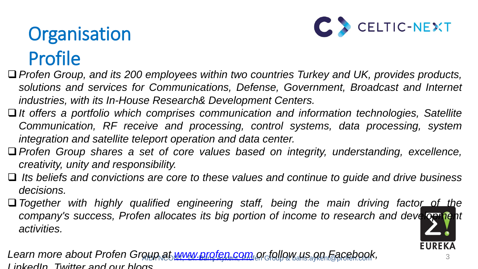# Organisation Profile

- *Profen Group, and its 200 employees within two countries Turkey and UK, provides products, solutions and services for Communications, Defense, Government, Broadcast and Internet industries, with its In-House Research& Development Centers.*
- *It offers a portfolio which comprises communication and information technologies, Satellite Communication, RF receive and processing, control systems, data processing, system integration and satellite teleport operation and data center.*
- *Profen Group shares a set of core values based on integrity, understanding, excellence, creativity, unity and responsibility.*
- *Its beliefs and convictions are core to these values and continue to guide and drive business decisions.*
- *Together with highly qualified engineering staff, being the main driving factor of the company's success, Profen allocates its big portion of income to research and development activities.*

Learn more about Profen Groun at [www.profen.com](http://www.profen.com/) or follow.us.gn Facebook, *LinkedIn, Twitter and our blogs.*



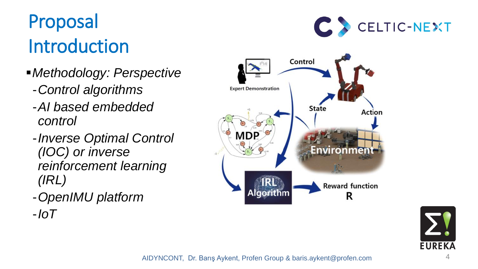# Proposal Introduction

AIDYNCONT, Dr. Barış Aykent, Profen Group & baris.aykent@profen.com 4







- *Methodology: Perspective* 
	- -*Control algorithms*
	- -*AI based embedded control*
	- -*Inverse Optimal Control (IOC) or inverse reinforcement learning (IRL)*
	- -*OpenIMU platform*
	- -*IoT*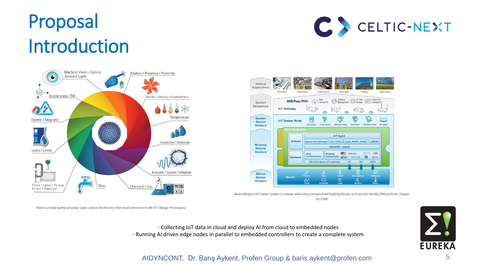## Proposal Introduction



There is a wide variety of sensor types used in the industry that need connection to the IoT. (Image: Postscapes)

#### AIDYNCONT, Dr. Barış Aykent, Profen Group & baris.aykent@profen.com 5

- Collecting IoT data in cloud and deploy AI from cloud to embedded nodes - Running AI driven edge nodes in parallel to embedded controllers to create a complete system





Assembling an IIoT sensor system is simpler when using standardized building blocks, such as with the M2.COM platform. (Image:  $M2$ . $COM$ )

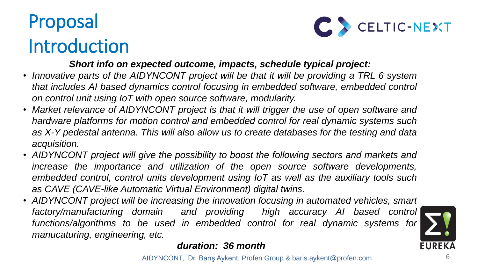# Proposal Introduction

AIDYNCONT, Dr. Barış Aykent, Profen Group & baris.aykent@profen.com 6



#### *Short info on expected outcome, impacts, schedule typical project:*

*that includes AI based dynamics control focusing in embedded software, embedded control*

*hardware platforms for motion control and embedded control for real dynamic systems such as X-Y pedestal antenna. This will also allow us to create databases for the testing and data*

- *Innovative parts of the AIDYNCONT project will be that it will be providing a TRL 6 system on control unit using IoT with open source software, modularity.*
- *Market relevance of AIDYNCONT project is that it will trigger the use of open software and acquisition.*
- *AIDYNCONT project will give the possibility to boost the following sectors and markets and as CAVE (CAVE-like Automatic Virtual Environment) digital twins.*
- *AIDYNCONT project will be increasing the innovation focusing in automated vehicles, smart manucaturing, engineering, etc.*

*increase the importance and utilization of the open source software developments, embedded control, control units development using IoT as well as the auxiliary tools such*

*factory/manufacturing domain and providing high accuracy AI based control functions/algorithms to be used in embedded control for real dynamic systems for*



*duration: 36 month*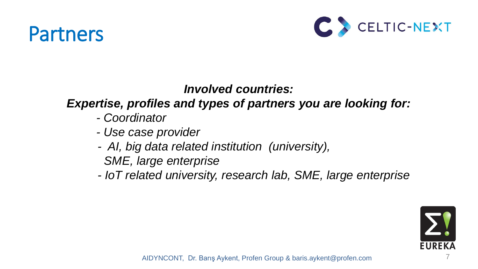### Partners

AIDYNCONT, Dr. Barış Aykent, Profen Group & baris.aykent@profen.com 7



#### *Involved countries: Expertise, profiles and types of partners you are looking for: - Coordinator*

- *- Use case provider*
- *AI, big data related institution (university), SME, large enterprise*
- 

 *- IoT related university, research lab, SME, large enterprise*